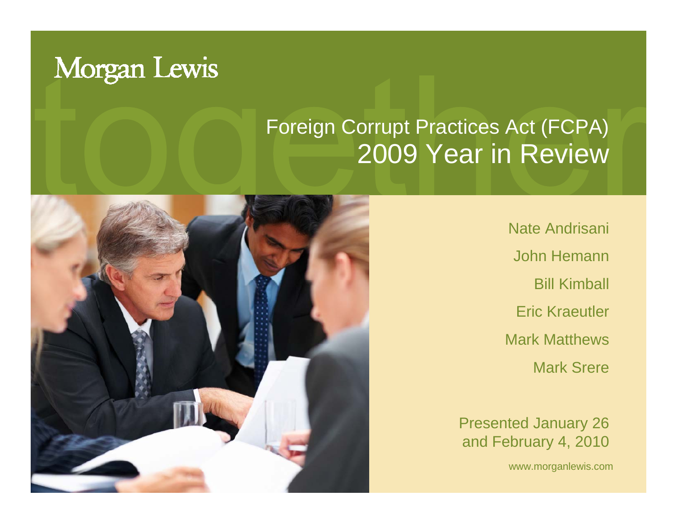# Morgan Lewis

#### Foreign Corrupt Practices Act (FCPA) 2009 Year in Review



Nate Andrisani John HemannBill Kimball Eric KraeutlerMark MatthewsMark Srere

Presented January 26 and February 4, 2010

www.morganlewis.com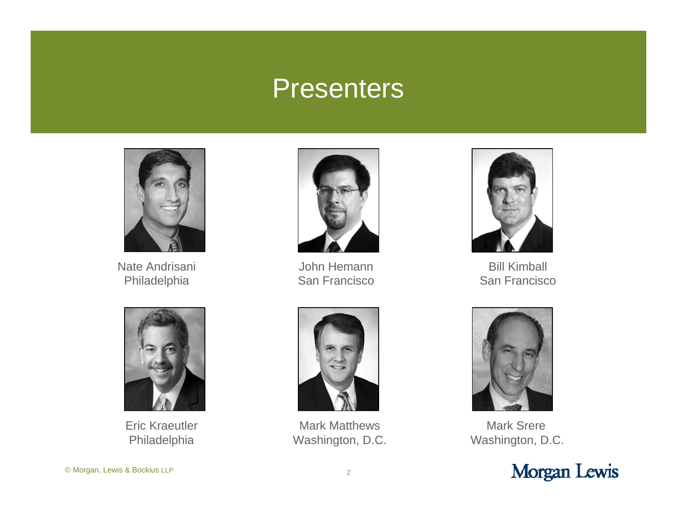#### Presenters



Nate AndrisaniPhiladelphia



Eric Kraeutler Philadelphia



John HemannSan Francisco



Mark MatthewsWashington, D.C.



Bill KimballSan Francisco



Mark Srere Washington, D.C.



© Morgan, Lewis & Bockius LLP 2 **LLP LLP**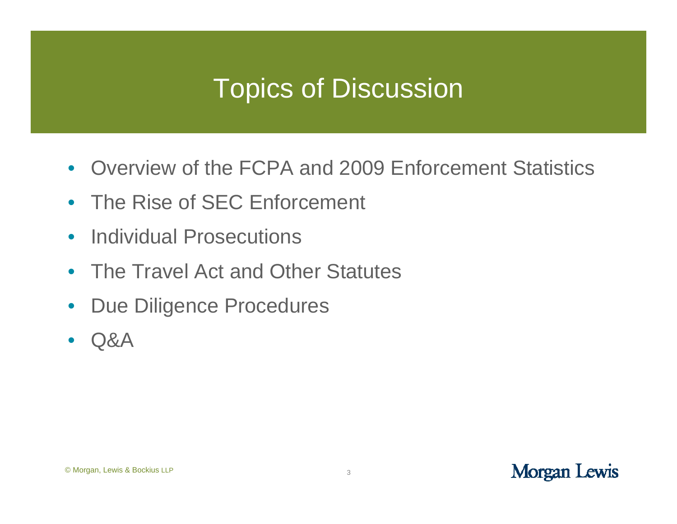### Topics of Discussion

- Overview of the FCPA and 2009 Enforcement Statistics
- $\bullet$ The Rise of SEC Enforcement
- $\bullet$ Individual Prosecutions
- $\bullet$ The Travel Act and Other Statutes
- $\bullet$ Due Diligence Procedures
- $\bullet$ Q&A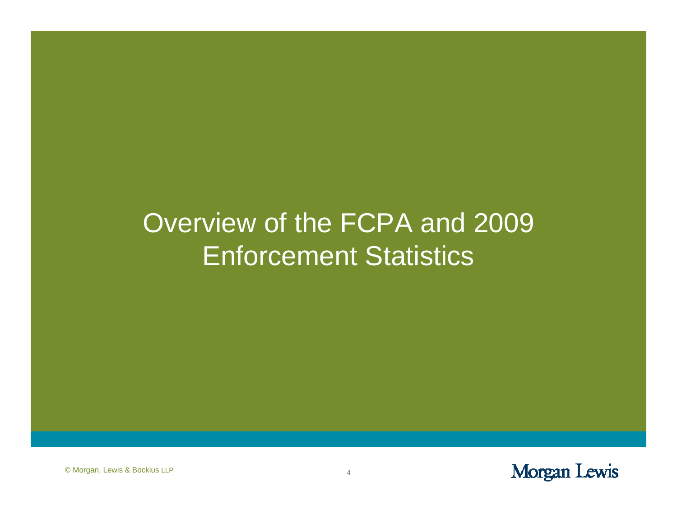# Overview of the FCPA and 2009 Enforcement Statistics

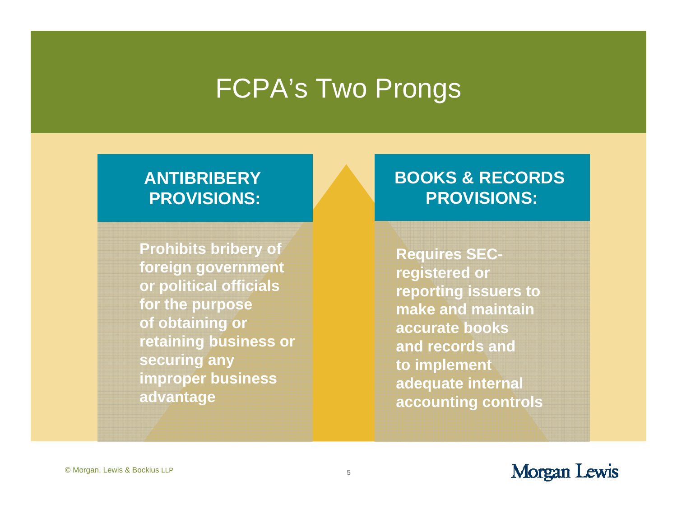#### FCPA's Two Prongs

#### **ANTIBRIBERY PROVISIONS:**

**Prohibits bribery of foreign government or political officials for the purpose of obtaining or retaining business or securing any improper business advantage**

#### **BOOKS & RECORDS PROVISIONS:**

**Requires SECregistered or reporting issuers to make and maintain accurate books and records andto implement adequate internal accounting controls**

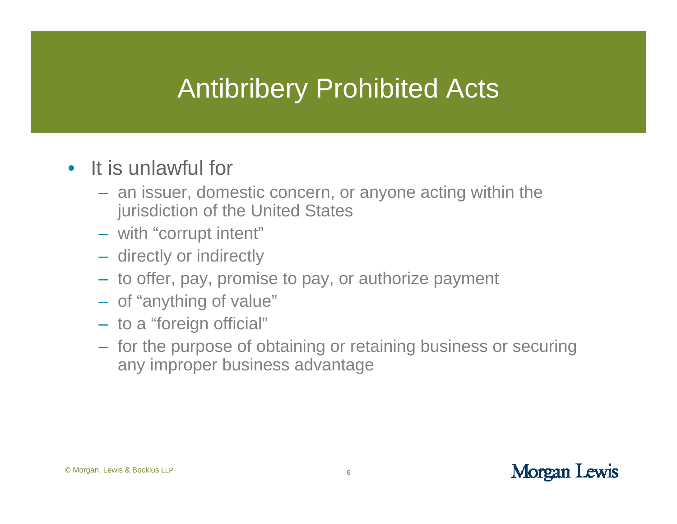#### Antibribery Prohibited Acts

#### • It is unlawful for

- an issuer, domestic concern, or anyone acting within the jurisdiction of the United States
- with "corrupt intent"
- directly or indirectly
- $-$  to offer, pay, promise to pay, or authorize payment
- of "anything of value"
- to a "foreign official"
- for the purpose of obtaining or retaining business or securing any improper business advantage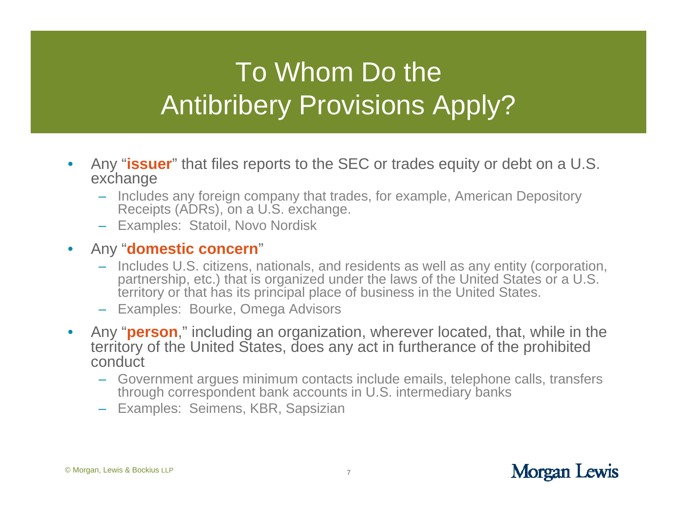# To Whom Do theAntibribery Provisions Apply?

- $\bullet$  Any "**issuer**" that files reports to the SEC or trades equity or debt on a U.S. exchange
	- Includes any foreign company that trades, for example, American Depository Receipts (ADRs), on a U.S. exchange.
	- Examples: Statoil, Novo Nordisk
- $\bullet$  Any "**domestic concern**"
	- Includes U.S. citizens, nationals, and residents as well as any entity (corporation, partnership, etc.) that is organized under the laws of the United States or a U.S. territory or that has its principal place of business in the United States.
	- Examples: Bourke, Omega Advisors
- $\bullet$  Any "**person**," including an organization, wherever located, that, while in the territory of the United States, does any act in furtherance of the prohibited conduct
	- Government argues minimum contacts include emails, telephone calls, transfers through correspondent bank accounts in U.S. intermediary banks
	- Examples: Seimens, KBR, Sapsizian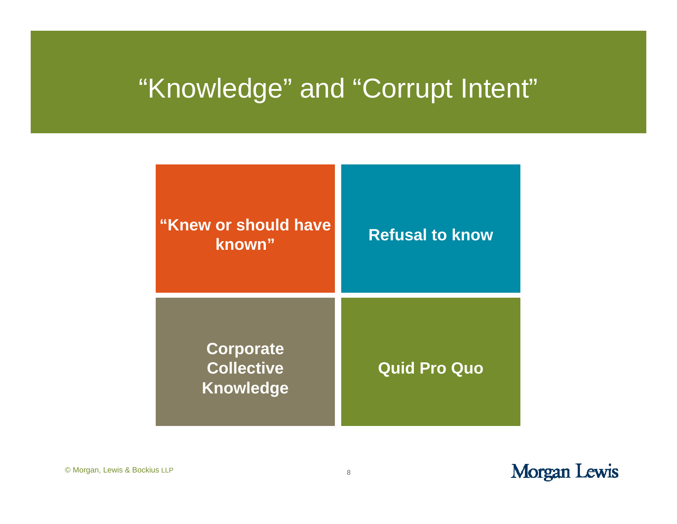# "Knowledge" and "Corrupt Intent"

| "Knew or should have<br>known"                            | <b>Refusal to know</b> |
|-----------------------------------------------------------|------------------------|
| <b>Corporate</b><br><b>Collective</b><br><b>Knowledge</b> | <b>Quid Pro Quo</b>    |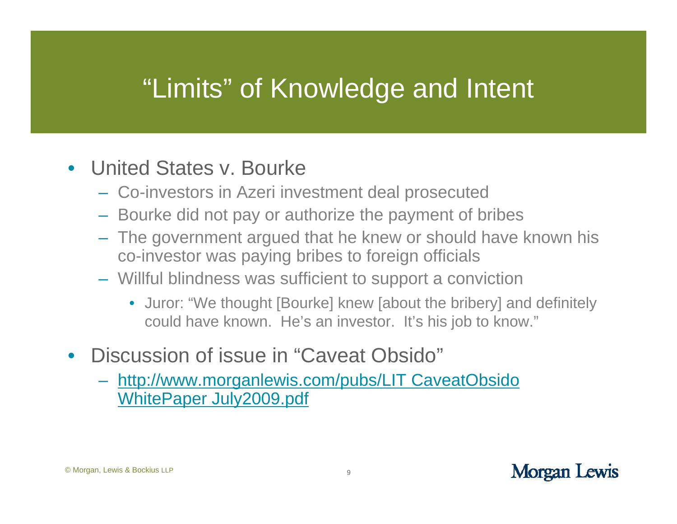#### "Limits" of Knowledge and Intent

#### • United States v. Bourke

- Co-investors in Azeri investment deal prosecuted
- Bourke did not pay or authorize the payment of bribes
- The government argued that he knew or should have known his co-investor was paying bribes to foreign officials
- Willful blindness was sufficient to support a conviction
	- Juror: "We thought [Bourke] knew [about the bribery] and definitely could have known. He's an investor. It's his job to know."
- Discussion of issue in "Caveat Obsido"
	- http://www.morganlewis.com/pubs/LIT CaveatObsido WhitePaper July2009.pdf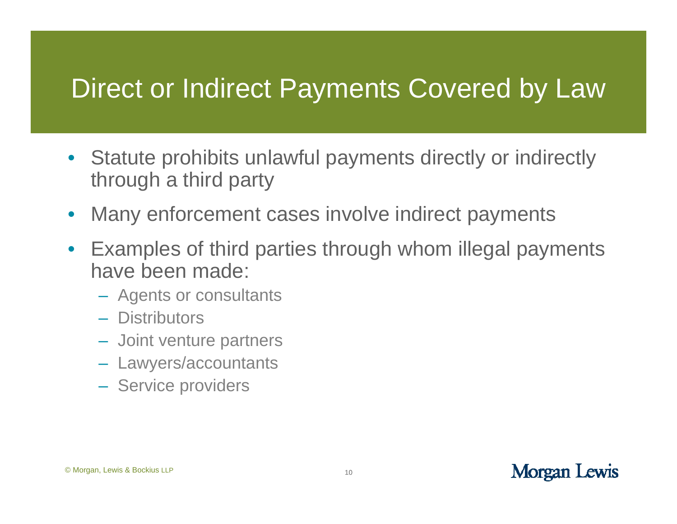#### Direct or Indirect Payments Covered by Law

- $\bullet$  Statute prohibits unlawful payments directly or indirectly through a third party
- $\bullet$ Many enforcement cases involve indirect payments
- Examples of third parties through whom illegal payments have been made:
	- Agents or consultants
	- Distributors
	- Joint venture partners
	- Lawyers/accountants
	- Service providers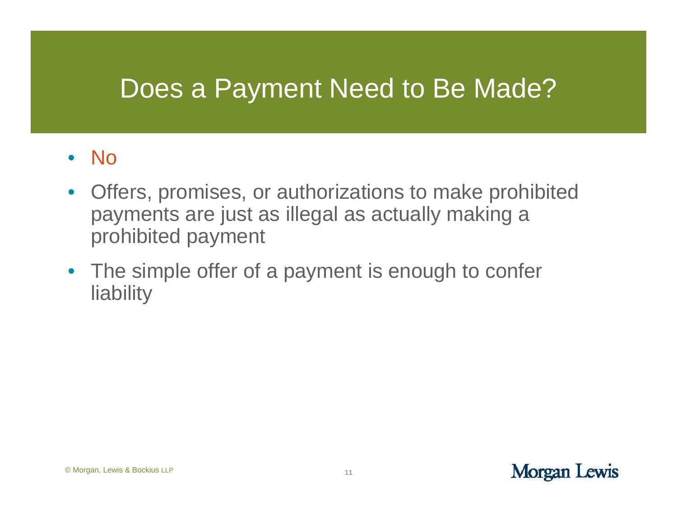#### Does a Payment Need to Be Made?

- No
- $\bullet$  Offers, promises, or authorizations to make prohibited payments are just as illegal as actually making a prohibited payment
- The simple offer of a payment is enough to confer **liability**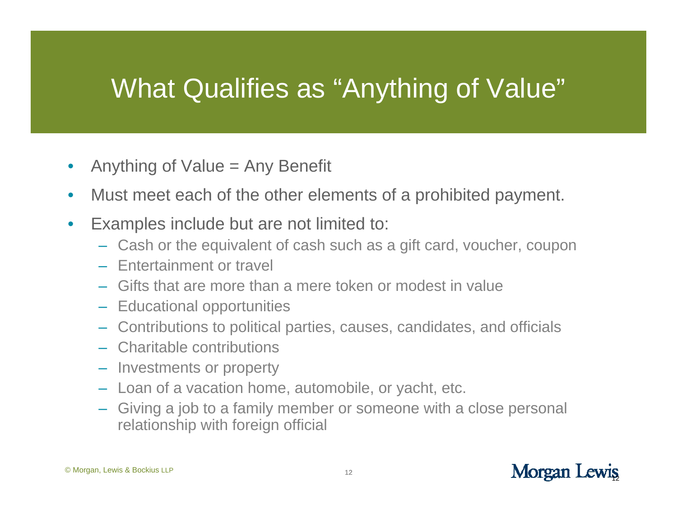## What Qualifies as "Anything of Value"

- $\bullet$ Anything of Value = Any Benefit
- $\bullet$ Must meet each of the other elements of a prohibited payment.
- $\bullet$  Examples include but are not limited to:
	- Cash or the equivalent of cash such as a gift card, voucher, coupon
	- Entertainment or travel
	- Gifts that are more than a mere token or modest in value
	- Educational opportunities
	- Contributions to political parties, causes, candidates, and officials
	- Charitable contributions
	- Investments or property
	- Loan of a vacation home, automobile, or yacht, etc.
	- Giving a job to a family member or someone with a close personal relationship with foreign official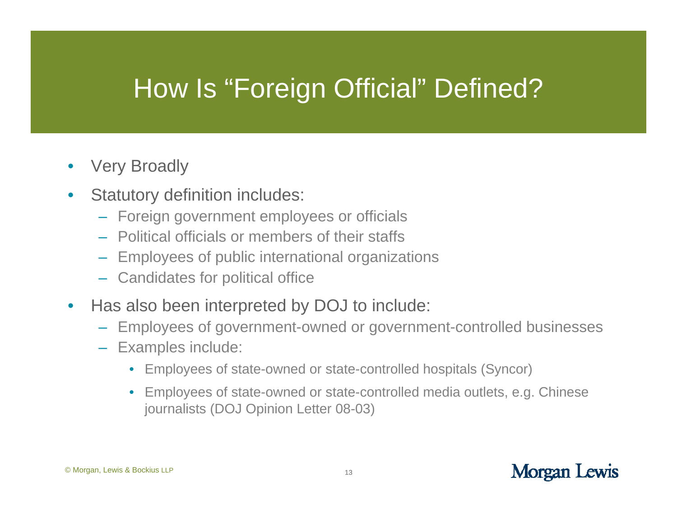## How Is "Foreign Official" Defined?

- •Very Broadly
- $\bullet$  Statutory definition includes:
	- Foreign government employees or officials
	- Political officials or members of their staffs
	- Employees of public international organizations
	- Candidates for political office
- $\bullet$  Has also been interpreted by DOJ to include:
	- Employees of government-owned or government-controlled businesses
	- Examples include:
		- Employees of state-owned or state-controlled hospitals (Syncor)
		- $\bullet$  Employees of state-owned or state-controlled media outlets, e.g. Chinese journalists (DOJ Opinion Letter 08-03)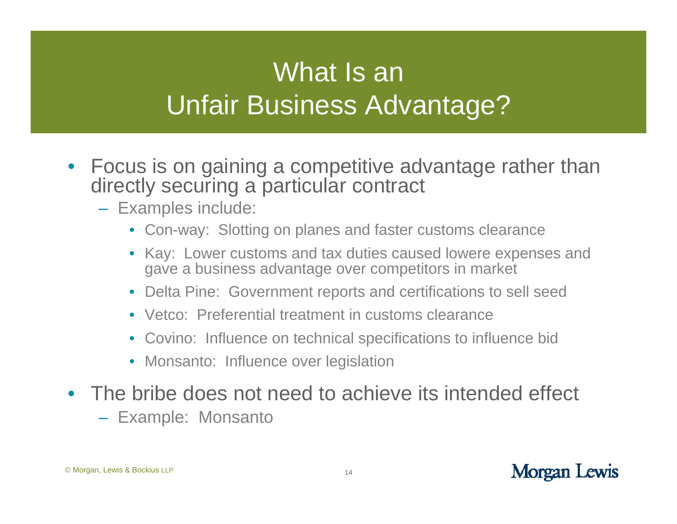## What Is an Unfair Business Advantage?

- Focus is on gaining a competitive advantage rather than directly securing a particular contract
	- Examples include:
		- Con-way: Slotting on planes and faster customs clearance
		- Kay: Lower customs and tax duties caused lowere expenses and gave a business advantage over competitors in market
		- Delta Pine: Government reports and certifications to sell seed
		- Vetco: Preferential treatment in customs clearance
		- Covino: Influence on technical specifications to influence bid
		- Monsanto: Influence over legislation
- The bribe does not need to achieve its intended effect
	- Example: Monsanto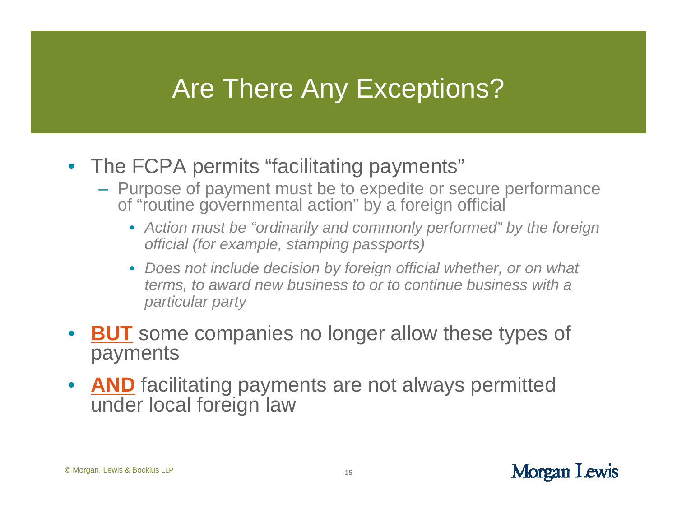### Are There Any Exceptions?

- The FCPA permits "facilitating payments"
	- Purpose of payment must be to expedite or secure performance of "routine governmental action" by a foreign official
		- Action must be "ordinarily and commonly performed" by the foreign *official (for example, stamping passports)*
		- *Does not include decision by foreign official whether, or on what terms, to award new business to or to continue business with a particular party*
- • **BUT** some companies no longer allow these types of payments
- **AND** facilitating payments are not always permitted under local foreign law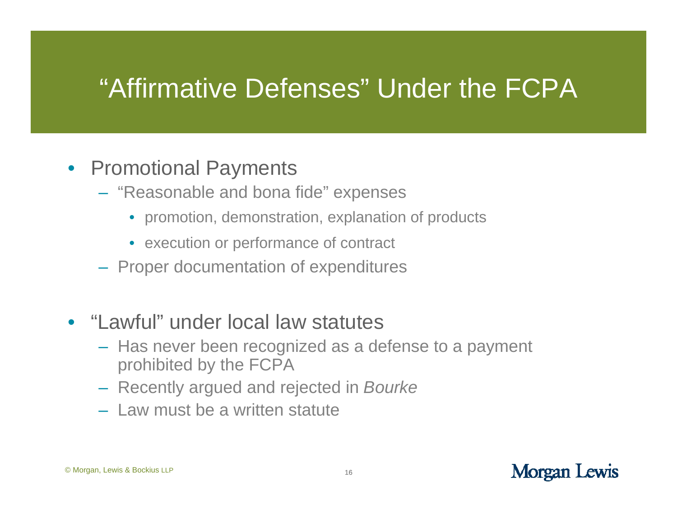#### "Affirmative Defenses" Under the FCPA

#### • Promotional Payments

- "Reasonable and bona fide" expenses
	- promotion, demonstration, explanation of products
	- execution or performance of contract
- Proper documentation of expenditures
- "Lawful" under local law statutes
	- Has never been recognized as a defense to a payment prohibited by the FCPA
	- Recently argued and rejected in *Bourke*
	- Law must be a written statute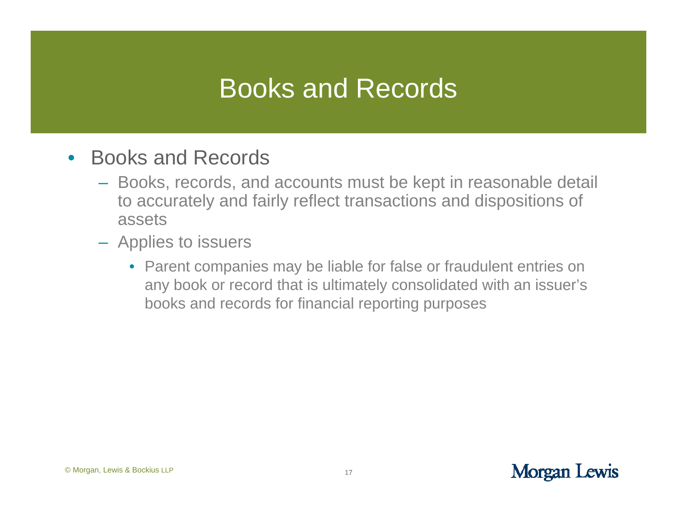#### Books and Records

- $\bullet$  Books and Records
	- Books, records, and accounts must be kept in reasonable detail to accurately and fairly reflect transactions and dispositions of assets
	- Applies to issuers
		- Parent companies may be liable for false or fraudulent entries on any book or record that is ultimately consolidated with an issuer's books and records for financial reporting purposes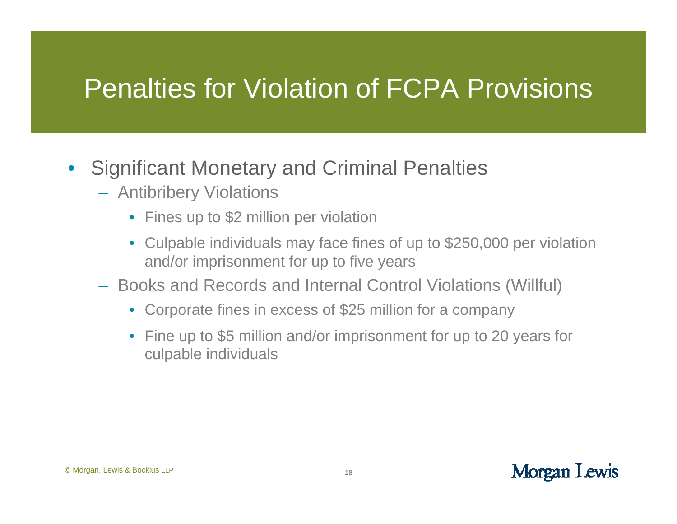### Penalties for Violation of FCPA Provisions

#### •Significant Monetary and Criminal Penalties

- Antibribery Violations
	- Fines up to \$2 million per violation
	- $\bullet$  Culpable individuals may face fines of up to \$250,000 per violation and/or imprisonment for up to five years
- Books and Records and Internal Control Violations (Willful)
	- Corporate fines in excess of \$25 million for a company
	- $\bullet$  Fine up to \$5 million and/or imprisonment for up to 20 years for culpable individuals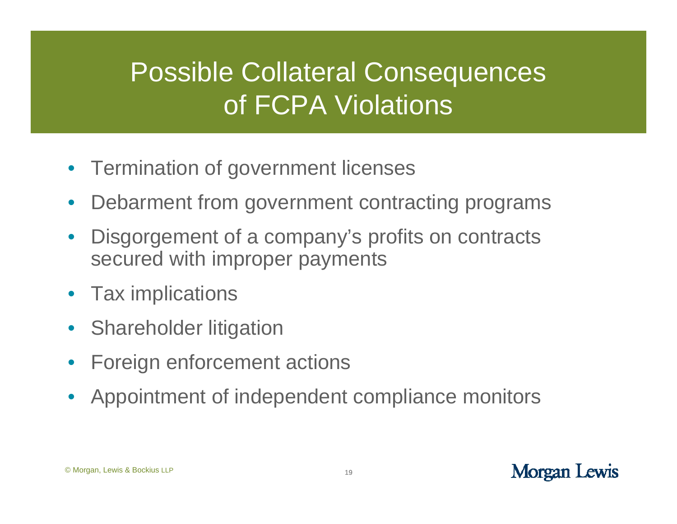# Possible Collateral Consequences of FCPA Violations

- Termination of government licenses
- $\bullet$ Debarment from government contracting programs
- • Disgorgement of a company's profits on contracts secured with improper payments
- $\bullet$ Tax implications
- $\bullet$ Shareholder litigation
- $\bullet$ Foreign enforcement actions
- $\bullet$ Appointment of independent compliance monitors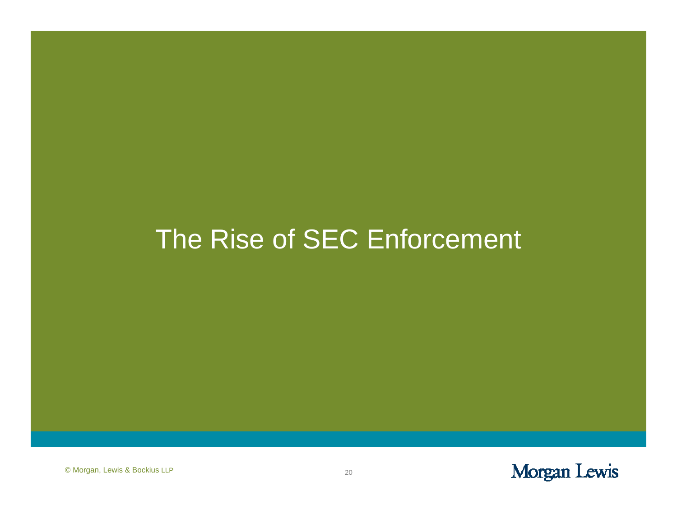## The Rise of SEC Enforcement

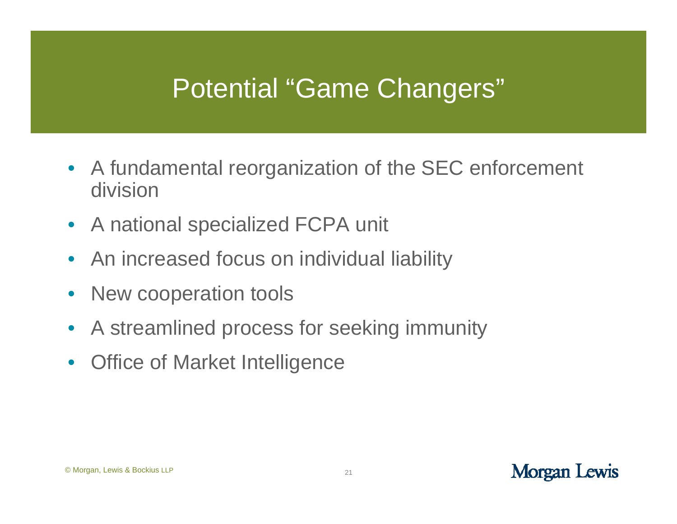### Potential "Game Changers"

- A fundamental reorganization of the SEC enforcement division
- A national specialized FCPA unit
- An increased focus on individual liability
- $\bullet$ New cooperation tools
- $\bullet$ A streamlined process for seeking immunity
- $\bullet$ Office of Market Intelligence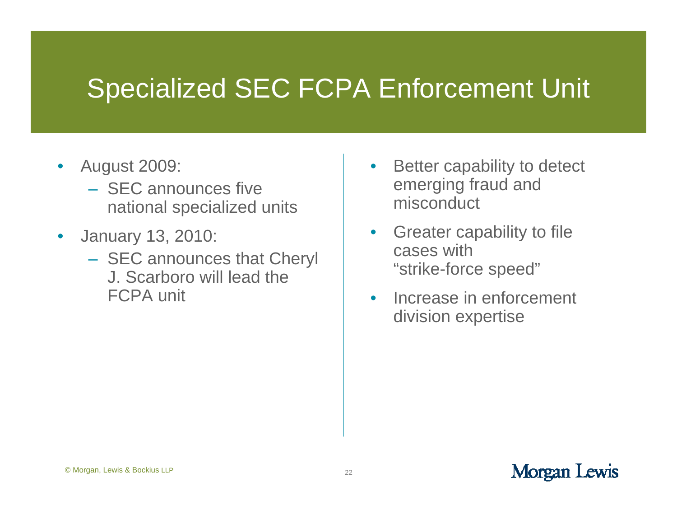#### Specialized SEC FCPA Enforcement Unit

- $\bullet$  August 2009:
	- SEC announces five national specialized units
- $\bullet$  January 13, 2010:
	- SEC announces that Cheryl J. Scarboro will lead the FCPA unit
- • Better capability to detect emerging fraud and misconduct
- • Greater capability to file cases with "strike-force speed"
- $\bullet$  Increase in enforcement division expertise

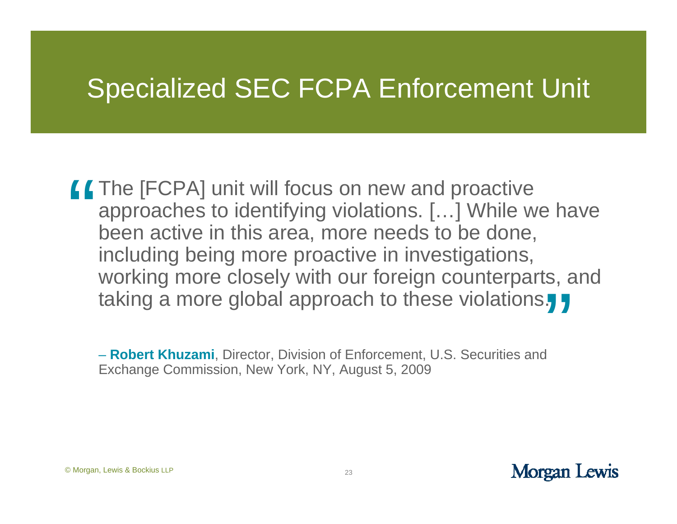#### Specialized SEC FCPA Enforcement Unit

**f** f The [FCPA] unit will focus on new and proactive taking a more global approach to these violations.  $\overline{\phantom{a}}$  , approaches to identifying violations. […] While we have been active in this area, more needs to be done, including being more proactive in investigations, working more closely with our foreign counterparts, and

 – **Robert Khuzami**, Director, Division of Enforcement, U.S. Securities and Exchange Commission, New York, NY, August 5, 2009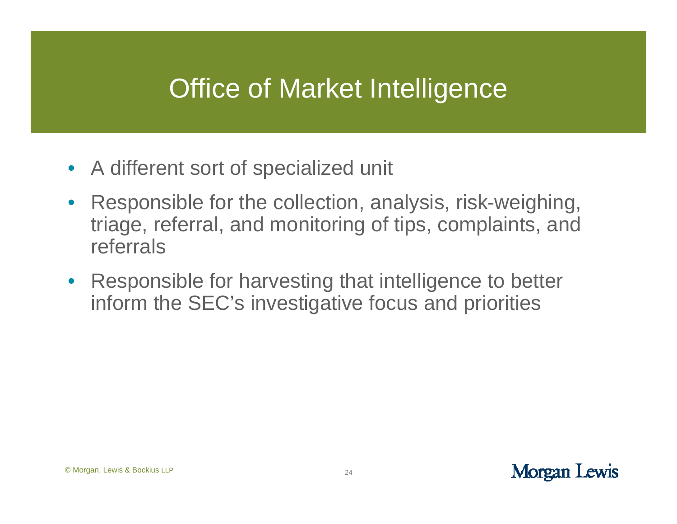#### Office of Market Intelligence

- A different sort of specialized unit
- $\bullet$  Responsible for the collection, analysis, risk-weighing, triage, referral, and monitoring of tips, complaints, and referrals
- Responsible for harvesting that intelligence to better inform the SEC's investigative focus and priorities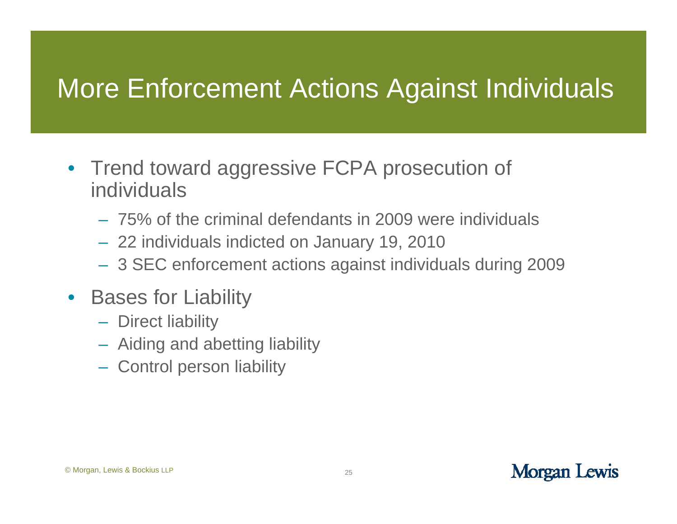## More Enforcement Actions Against Individuals

- Trend toward aggressive FCPA prosecution of individuals
	- 75% of the criminal defendants in 2009 were individuals
	- 22 individuals indicted on January 19, 2010
	- 3 SEC enforcement actions against individuals during 2009
- $\bullet$  Bases for Liability
	- Direct liability
	- Aiding and abetting liability
	- Control person liability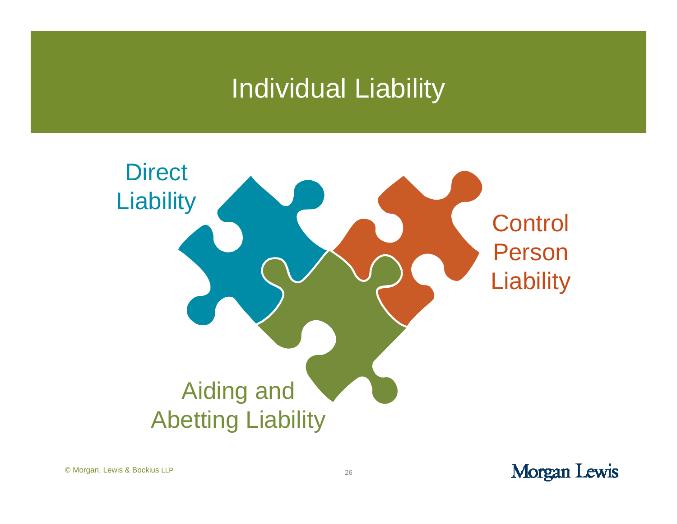#### Individual Liability



© Morgan, Lewis & Bockius 26LLP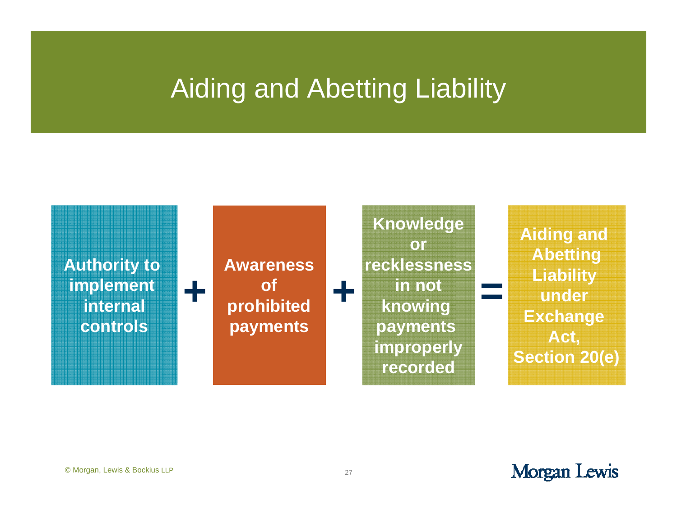#### Aiding and Abetting Liability

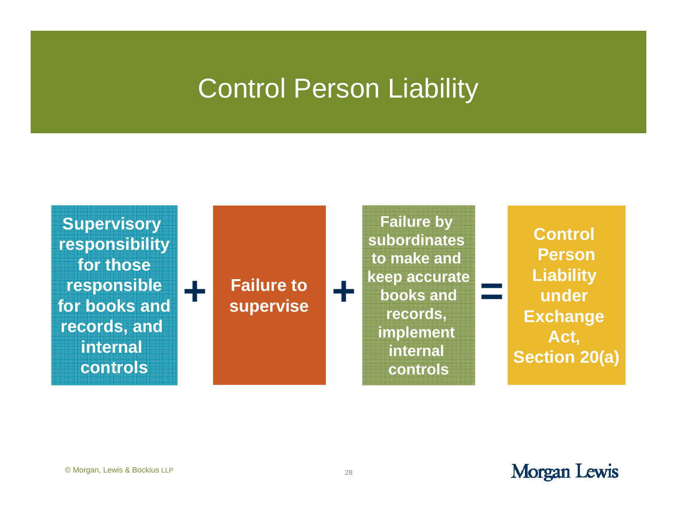#### Control Person Liability

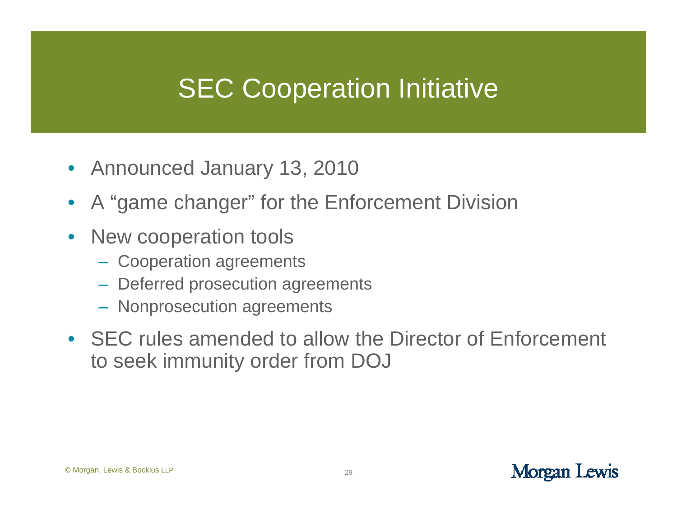### **SEC Cooperation Initiative**

- Announced January 13, 2010
- A "game changer" for the Enforcement Division
- $\bullet$  New cooperation tools
	- Cooperation agreements
	- Deferred prosecution agreements
	- Nonprosecution agreements
- SEC rules amended to allow the Director of Enforcement to seek immunity order from DOJ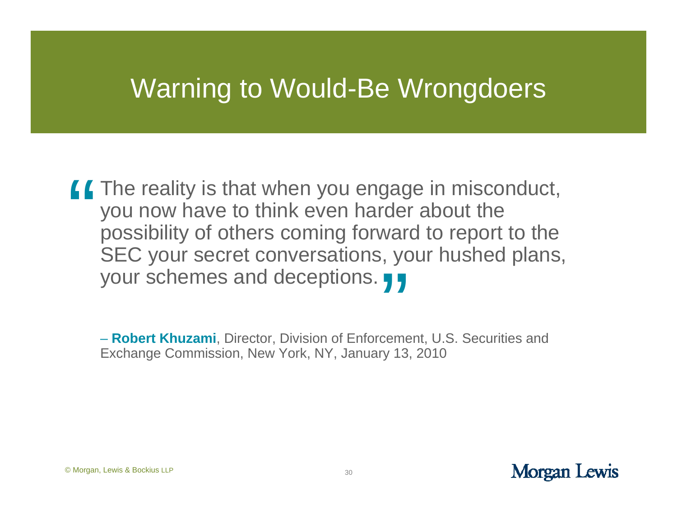#### Warning to Would-Be Wrongdoers

 $f$  The reality is that when you engage in misconduct, your schemes and deceptions. JJ you now have to think even harder about the possibility of others coming forward to report to the SEC your secret conversations, your hushed plans,

 – **Robert Khuzami**, Director, Division of Enforcement, U.S. Securities and Exchange Commission, New York, NY, January 13, 2010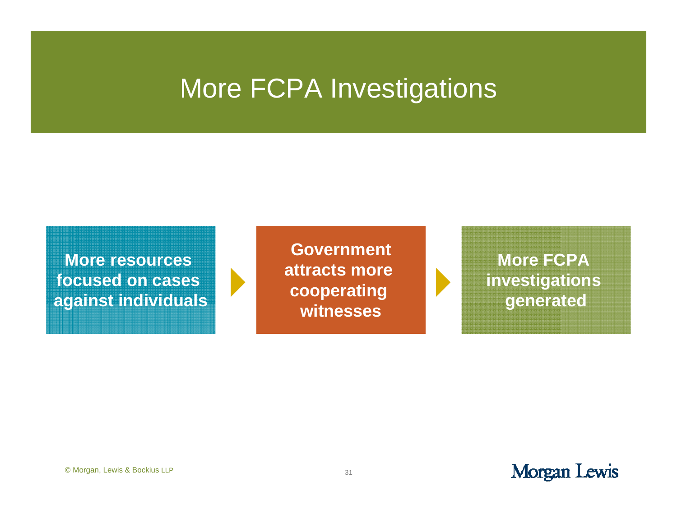#### More FCPA Investigations

**More resources focused on cases against individuals**

**Government attracts more cooperating witnesses**

**More FCPA investigations generated**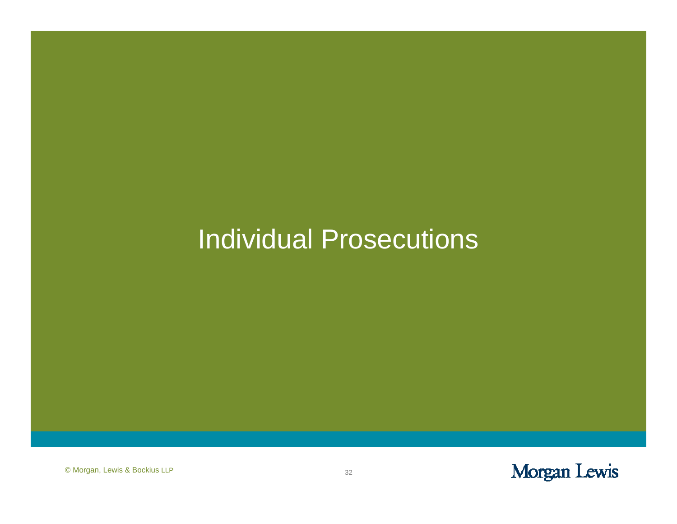## Individual Prosecutions

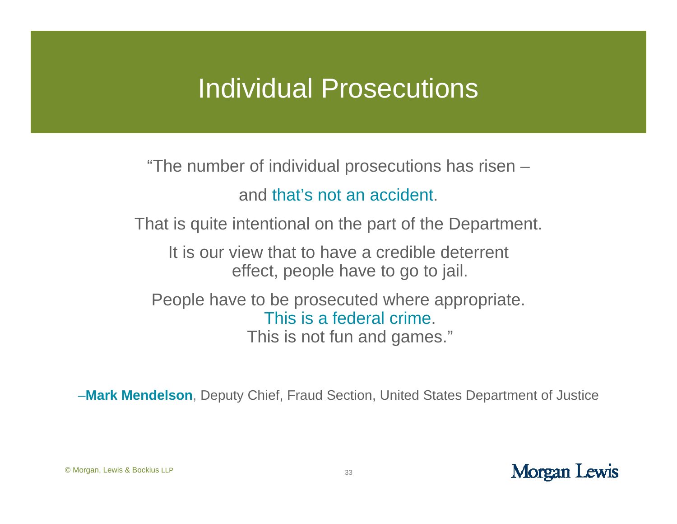#### Individual Prosecutions

"The number of individual prosecutions has risen –

and that's not an accident.

That is quite intentional on the part of the Department.

It is our view that to have a credible deterrent effect, people have to go to jail.

People have to be prosecuted where appropriate. This is a federal crime. This is not fun and games."

–**Mark Mendelson**, Deputy Chief, Fraud Section, United States Department of Justice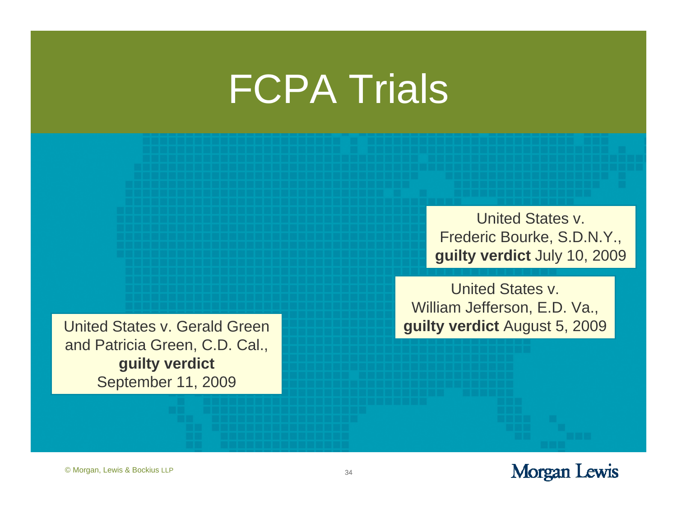# **FCPA Trials**

United States v. Frederic Bourke, S.D.N.Y., **guilty verdict** July 10, 2009

United States v. William Jefferson, E.D. Va., United States v. Gerald Green **guilty verdict** August 5, 2009

and Patricia Green, C.D. Cal., **guilty verdict** September 11, 2009

**Morgan Lewis**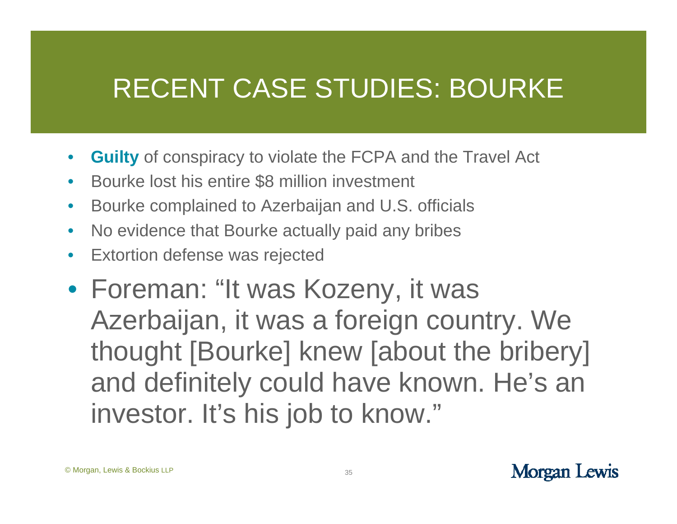## RECENT CASE STUDIES: BOURKE

- $\bullet$ **Guilty** of conspiracy to violate the FCPA and the Travel Act
- $\bullet$ Bourke lost his entire \$8 million investment
- $\bullet$ Bourke complained to Azerbaijan and U.S. officials
- $\bullet$ No evidence that Bourke actually paid any bribes
- $\bullet$ Extortion defense was rejected
- Foreman: "It was Kozeny, it was Azerbaijan, it was a foreign country. We thought [Bourke] knew [about the bribery] and definitely could have known. He's an investor. It's his job to know."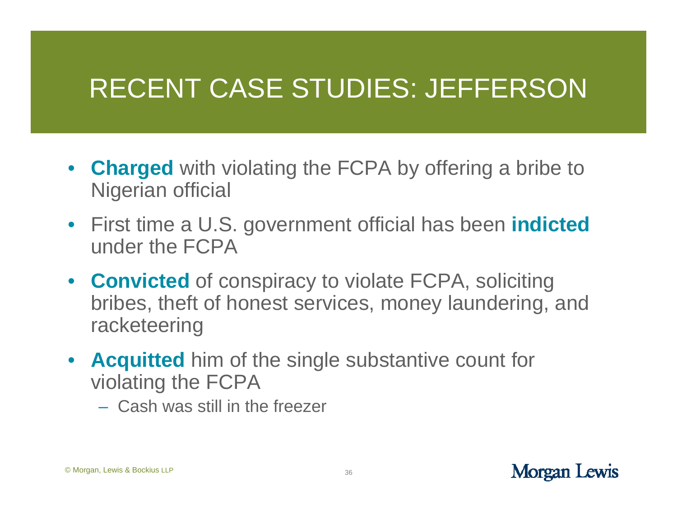## RECENT CASE STUDIES: JEFFERSON

- **Charged** with violating the FCPA by offering a bribe to Nigerian official
- First time a U.S. government official has been **indicted** under the FCPA
- **Convicted** of conspiracy to violate FCPA, soliciting bribes, theft of honest services, money laundering, and racketeering
- **Acquitted** him of the single substantive count for violating the FCPA
	- Cash was still in the freezer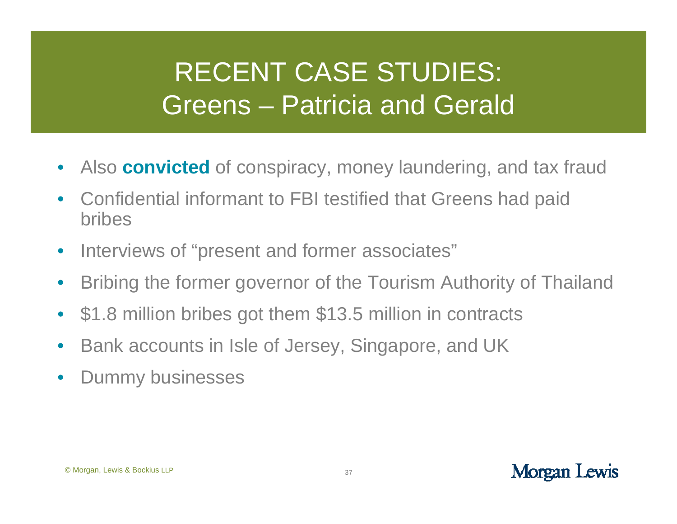# RECENT CASE STUDIES: Greens – Patricia and Gerald

- $\bullet$ Also **convicted** of conspiracy, money laundering, and tax fraud
- $\bullet$  Confidential informant to FBI testified that Greens had paid bribes
- $\bullet$ Interviews of "present and former associates"
- $\bullet$ Bribing the former governor of the Tourism Authority of Thailand
- $\bullet$ \$1.8 million bribes got them \$13.5 million in contracts
- $\bullet$ Bank accounts in Isle of Jersey, Singapore, and UK
- $\bullet$ Dummy businesses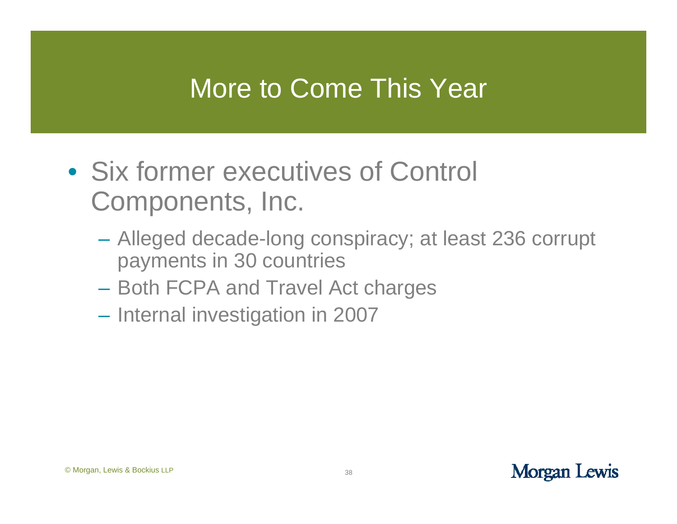#### More to Come This Year

- Six former executives of Control Components, Inc.
	- Alleged decade-long conspiracy; at least 236 corrupt payments in 30 countries
	- $\mathcal{L}_{\mathcal{A}}$ - Both FCPA and Travel Act charges
	- –**- Internal investigation in 2007**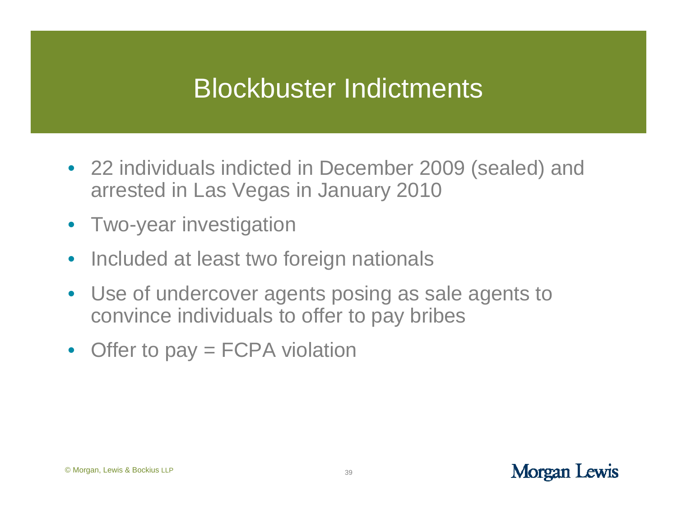#### Blockbuster Indictments

- 22 individuals indicted in December 2009 (sealed) and arrested in Las Vegas in January 2010
- Two-year investigation
- $\bullet$ Included at least two foreign nationals
- Use of undercover agents posing as sale agents to convince individuals to offer to pay bribes
- Offer to pay = FCPA violation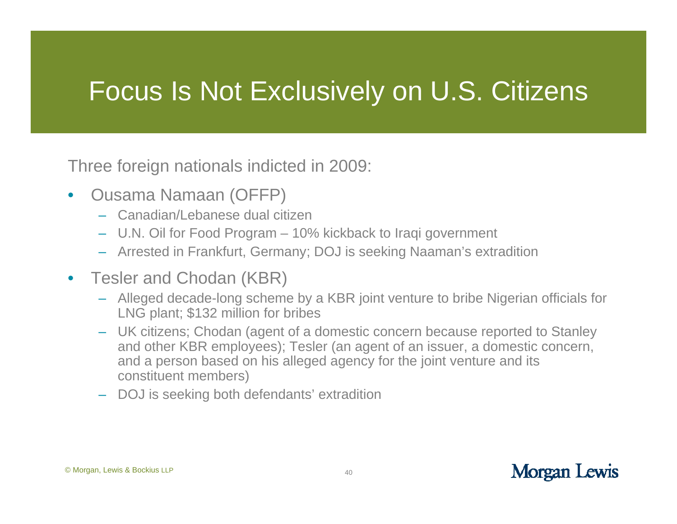## Focus Is Not Exclusively on U.S. Citizens

Three foreign nationals indicted in 2009:

- $\bullet$  Ousama Namaan (OFFP)
	- Canadian/Lebanese dual citizen
	- U.N. Oil for Food Program 10% kickback to Iraqi government
	- Arrested in Frankfurt, Germany; DOJ is seeking Naaman's extradition
- Tesler and Chodan (KBR)
	- Alleged decade-long scheme by a KBR joint venture to bribe Nigerian officials for LNG plant; \$132 million for bribes
	- UK citizens; Chodan (agent of a domestic concern because reported to Stanley and other KBR employees); Tesler (an agent of an issuer, a domestic concern, and a person based on his alleged agency for the joint venture and its constituent members)
	- DOJ is seeking both defendants' extradition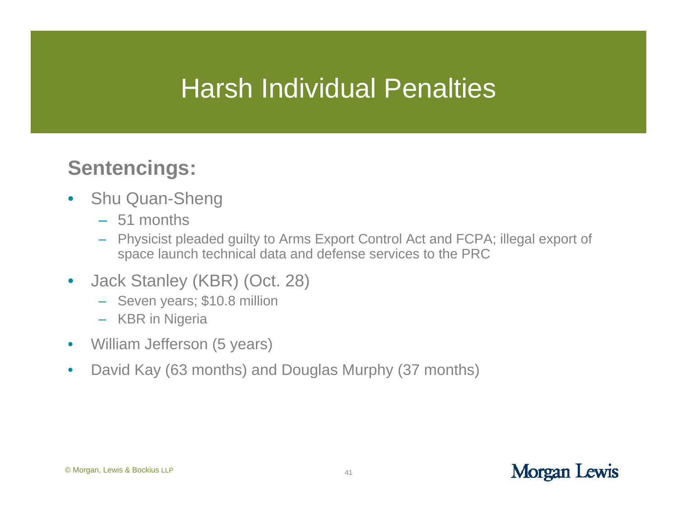#### Harsh Individual Penalties

#### **Sentencings:**

- $\bullet$  Shu Quan-Sheng
	- 51 months
	- Physicist pleaded guilty to Arms Export Control Act and FCPA; illegal export of space launch technical data and defense services to the PRC
- $\bullet$  Jack Stanley (KBR) (Oct. 28)
	- Seven years; \$10.8 million
	- KBR in Nigeria
- $\bullet$ William Jefferson (5 years)
- $\bullet$ David Kay (63 months) and Douglas Murphy (37 months)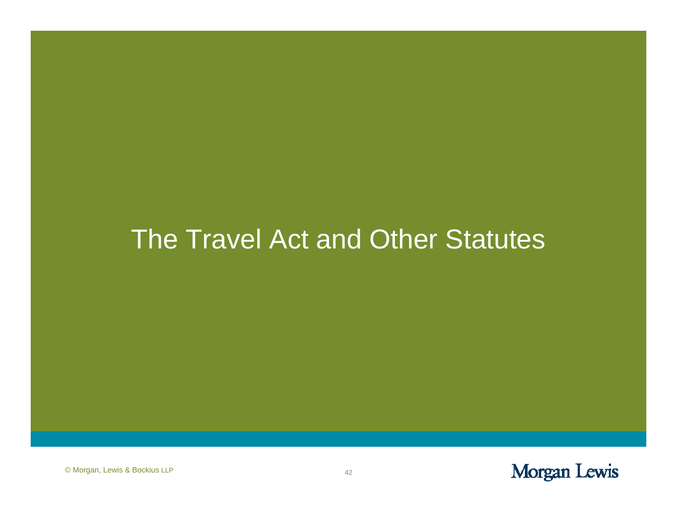#### The Travel Act and Other Statutes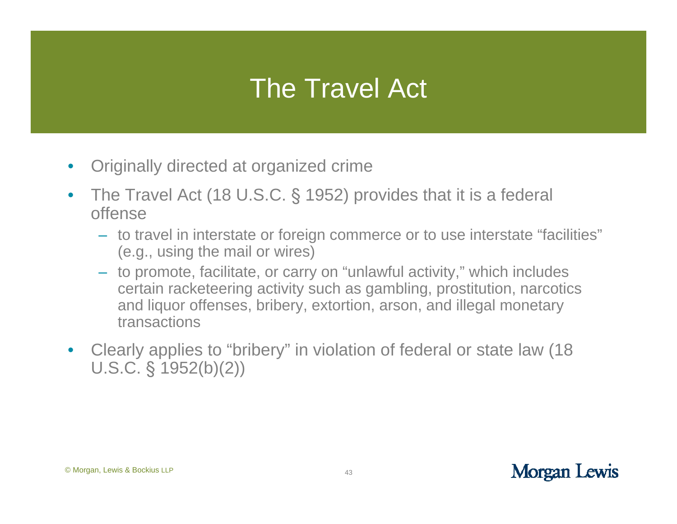- $\bullet$ Originally directed at organized crime
- $\bullet$  The Travel Act (18 U.S.C. § 1952) provides that it is a federal offense
	- to travel in interstate or foreign commerce or to use interstate "facilities" (e.g., using the mail or wires)
	- to promote, facilitate, or carry on "unlawful activity," which includes certain racketeering activity such as gambling, prostitution, narcotics and liquor offenses, bribery, extortion, arson, and illegal monetary transactions
- $\bullet$  Clearly applies to "bribery" in violation of federal or state law (18 U.S.C. § 1952(b)(2))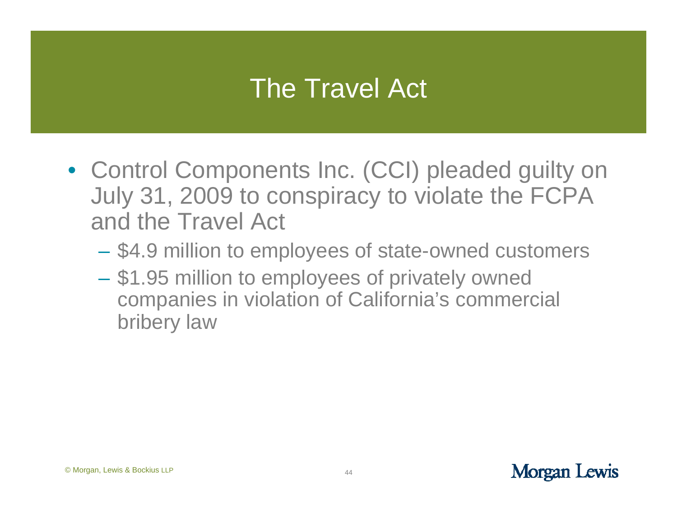- Control Components Inc. (CCI) pleaded guilty on July 31, 2009 to conspiracy to violate the FCPA and the Travel Act
	- –\$4.9 million to employees of state-owned customers
	- \$1.95 million to employees of privately owned companies in violation of California's commercial bribery law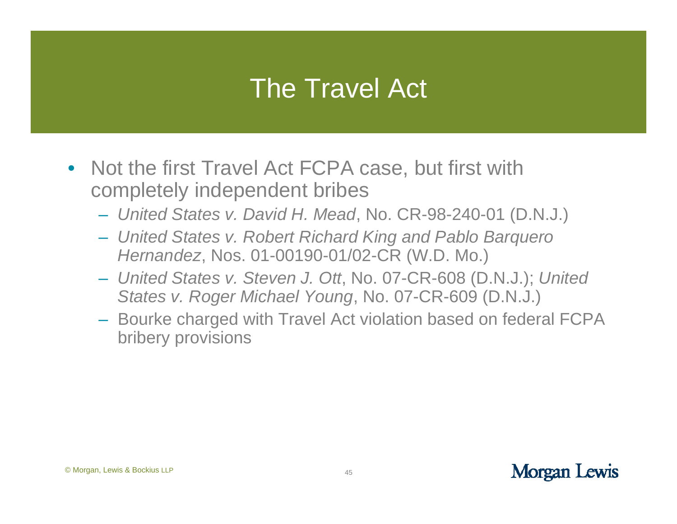- Not the first Travel Act FCPA case, but first with completely independent bribes
	- *United States v. David H. Mead*, No. CR-98-240-01 (D.N.J.)
	- *United States v. Robert Richard King and Pablo Barquero Hernandez*, Nos. 01-00190-01/02-CR (W.D. Mo.)
	- *United States v. Steven J. Ott*, No. 07-CR-608 (D.N.J.); *United States v. Roger Michael Young*, No. 07-CR-609 (D.N.J.)
	- Bourke charged with Travel Act violation based on federal FCPA bribery provisions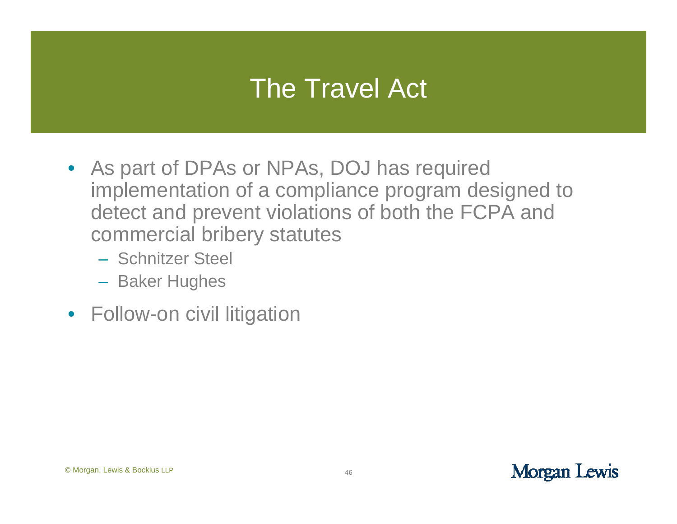- As part of DPAs or NPAs, DOJ has required implementation of a compliance program designed to detect and prevent violations of both the FCPA and commercial bribery statutes
	- Schnitzer Steel
	- Baker Hughes
- Follow-on civil litigation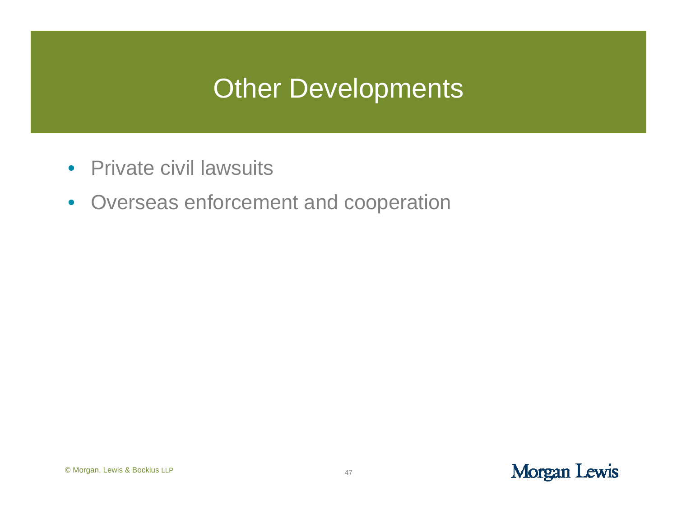#### Other Developments

- Private civil lawsuits
- $\bullet$ Overseas enforcement and cooperation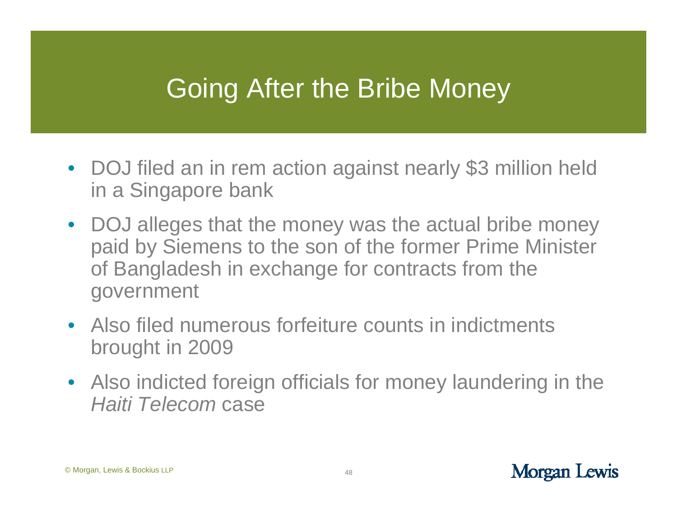#### Going After the Bribe Money

- DOJ filed an in rem action against nearly \$3 million held in a Singapore bank
- DOJ alleges that the money was the actual bribe money paid by Siemens to the son of the former Prime Minister of Bangladesh in exchange for contracts from the government
- Also filed numerous forfeiture counts in indictments brought in 2009
- Also indicted foreign officials for money laundering in the *Haiti Telecom* case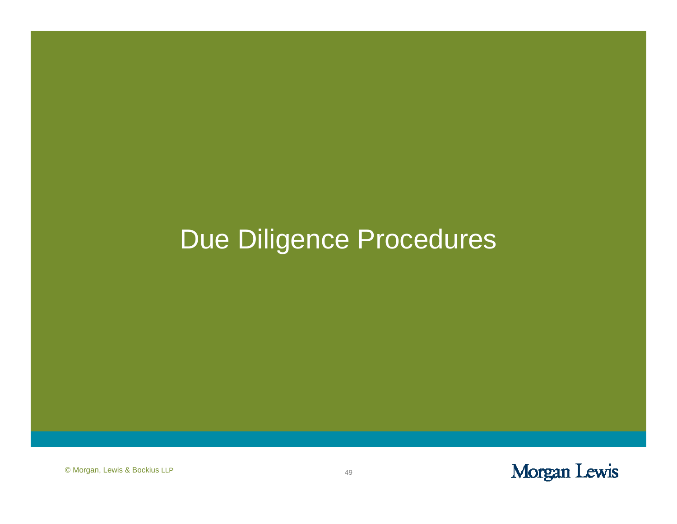# Due Diligence Procedures

© Morgan, Lewis & Bockius 49LLP

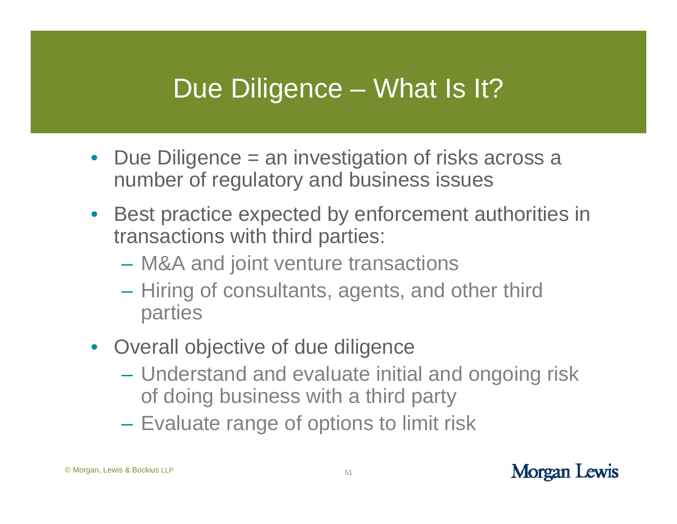#### Due Diligence – What Is It?

- Due Diligence = an investigation of risks across a number of regulatory and business issues
- Best practice expected by enforcement authorities in transactions with third parties:
	- $\mathcal{L}_{\mathcal{A}}$ M&A and joint venture transactions
	- $\mathcal{L}_{\mathcal{A}}$  , and the set of the set of the set of the set of the set of the set of the set of the set of the set of the set of the set of the set of the set of the set of the set of the set of the set of the set of th - Hiring of consultants, agents, and other third parties
- Overall objective of due diligence
	- – Understand and evaluate initial and ongoing risk of doing business with a third party
	- $\mathcal{L}_{\mathcal{A}}$  , and the set of the set of the set of the set of the set of the set of the set of the set of the set of the set of the set of the set of the set of the set of the set of the set of the set of the set of th Evaluate range of options to limit risk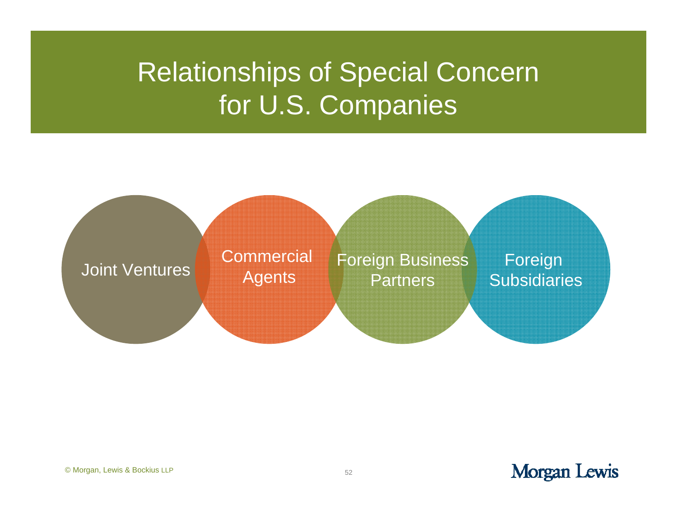# Relationships of Special Concern for U.S. Companies

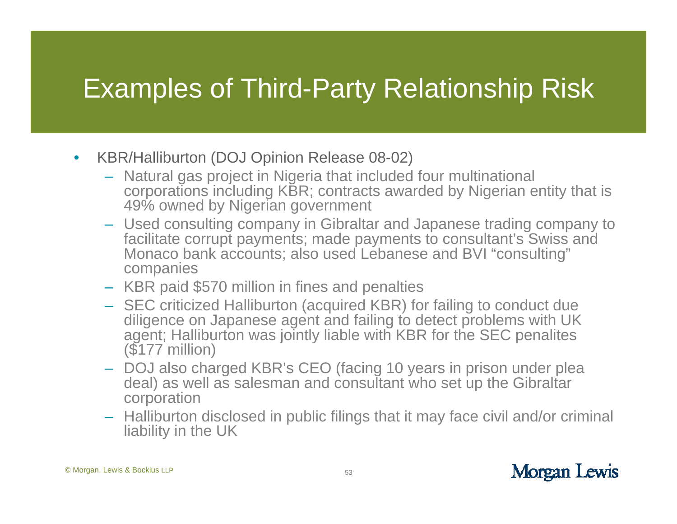## Examples of Third-Party Relationship Risk

- • KBR/Halliburton (DOJ Opinion Release 08-02)
	- Natural gas project in Nigeria that included four multinational corporations including KBR; contracts awarded by Nigerian entity that is 49% owned by Nigerian government
	- Used consulting company in Gibraltar and Japanese trading company to facilitate corrupt payments; made payments to consultant's Swiss and Monaco bank accounts; also used Lebanese and BVI "consulting" companies
	- KBR paid \$570 million in fines and penalties
	- SEC criticized Halliburton (acquired KBR) for failing to conduct due diligence on Japanese agent and failing to detect problems with UK agent; Halliburton was jointly liable with KBR for the SEC penalites (\$177 million)
	- DOJ also charged KBR's CEO (facing 10 years in prison under plea deal) as well as salesman and consultant who set up the Gibraltar corporation
	- Halliburton disclosed in public filings that it may face civil and/or criminal liability in the UK

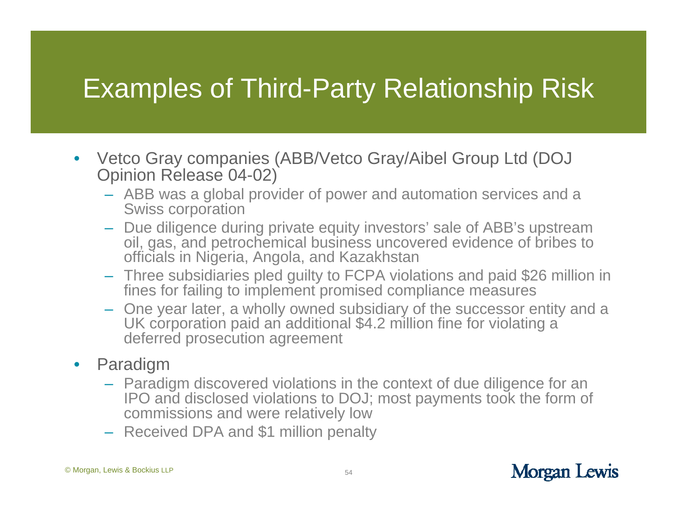## Examples of Third-Party Relationship Risk

- $\bullet$  Vetco Gray companies (ABB/Vetco Gray/Aibel Group Ltd (DOJ Opinion Release 04-02)
	- ABB was a global provider of power and automation services and a Swiss corporation
	- Due diligence during private equity investors' sale of ABB's upstream oil, gas, and petrochemical business uncovered evidence of bribes to officials in Nigeria, Angola, and Kazakhstan
	- – Three subsidiaries pled guilty to FCPA violations and paid \$26 million in fines for failing to implement promised compliance measures
	- One year later, a wholly owned subsidiary of the successor entity and a UK corporation paid an additional \$4.2 million fine for violating a deferred prosecution agreement

#### $\bullet$ Paradigm

- Paradigm discovered violations in the context of due diligence for an IPO and disclosed violations to DOJ; most payments took the form of commissions and were relatively low
- –- Received DPA and \$1 million penalty

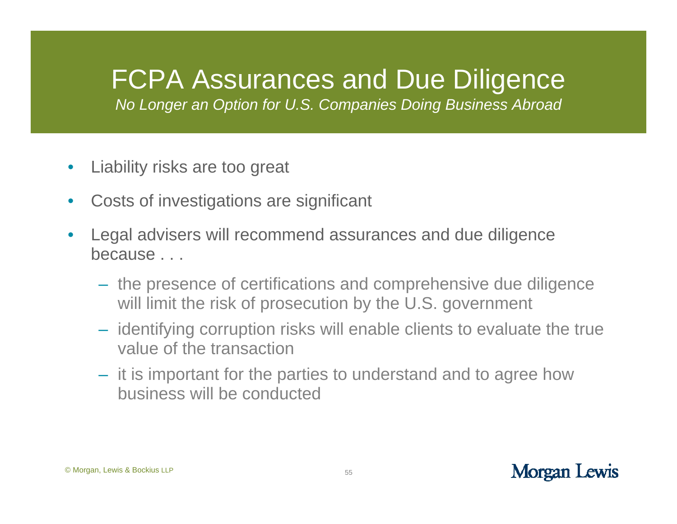## FCPA Assurances and Due Diligence

*No Longer an Option for U.S. Companies Doing Business Abroad*

- •Liability risks are too great
- $\bullet$ Costs of investigations are significant
- $\bullet$  Legal advisers will recommend assurances and due diligence because ...
	- the presence of certifications and comprehensive due diligence will limit the risk of prosecution by the U.S. government
	- identifying corruption risks will enable clients to evaluate the true value of the transaction
	- $-$  it is important for the parties to understand and to agree how business will be conducted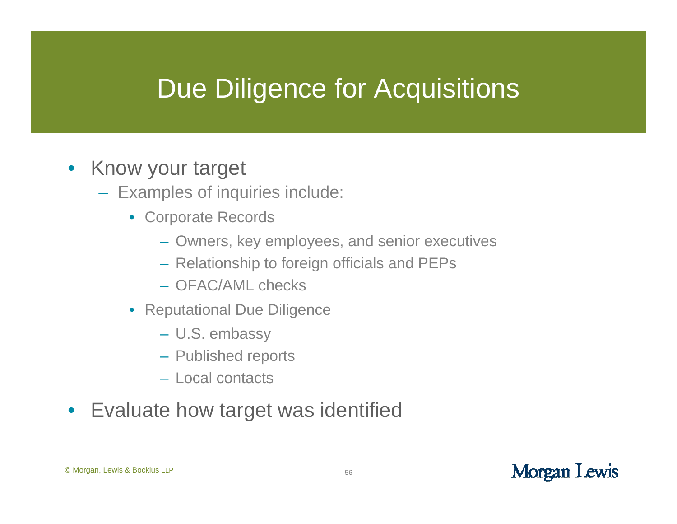#### Due Diligence for Acquisitions

#### • Know your target

- Examples of inquiries include:
	- Corporate Records
		- Owners, key employees, and senior executives
		- Relationship to foreign officials and PEPs
		- OFAC/AML checks
	- Reputational Due Diligence
		- U.S. embassy
		- Published reports
		- Local contacts
- Evaluate how target was identified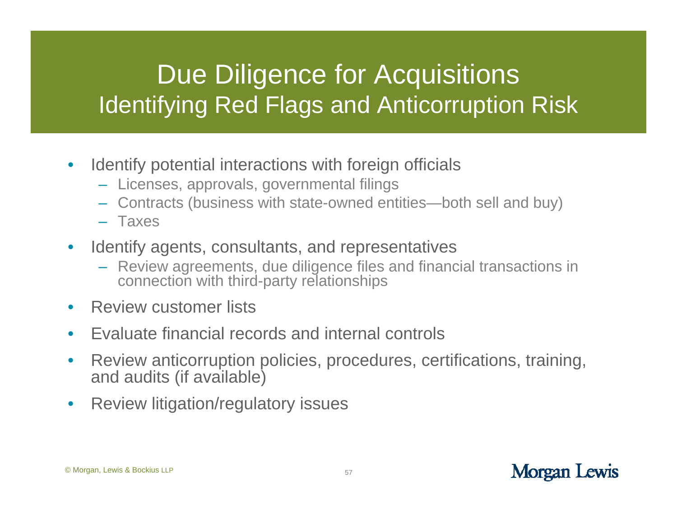## Due Diligence for Acquisitions Identifying Red Flags and Anticorruption Risk

- $\bullet$  Identify potential interactions with foreign officials
	- Licenses, approvals, governmental filings
	- Contracts (business with state-owned entities—both sell and buy)
	- Taxes
- $\bullet$  Identify agents, consultants, and representatives
	- Review agreements, due diligence files and financial transactions in connection with third-party relationships
- $\bullet$ Review customer lists
- $\bullet$ Evaluate financial records and internal controls
- $\bullet$  Review anticorruption policies, procedures, certifications, training, and audits (if available)
- $\bullet$ Review litigation/regulatory issues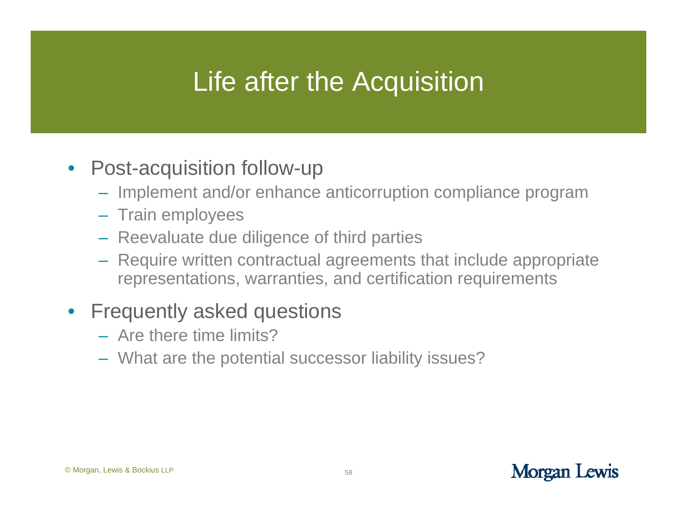## Life after the Acquisition

#### • Post-acquisition follow-up

- Implement and/or enhance anticorruption compliance program
- Train employees
- Reevaluate due diligence of third parties
- Require written contractual agreements that include appropriate representations, warranties, and certification requirements

#### • Frequently asked questions

- Are there time limits?
- What are the potential successor liability issues?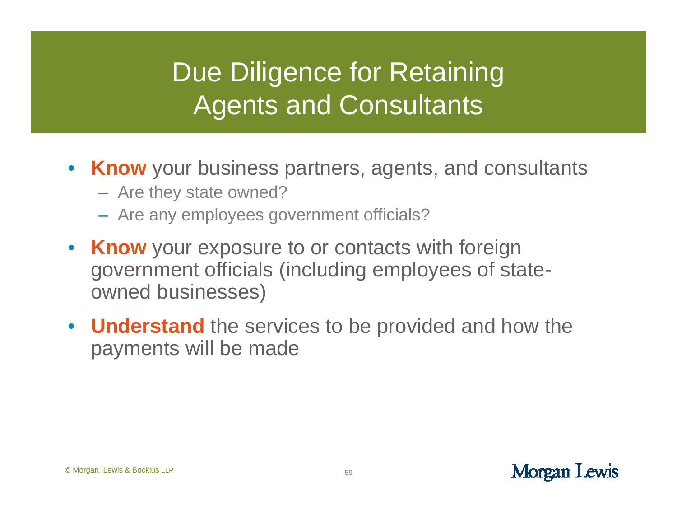# Due Diligence for Retaining Agents and Consultants

- **Know** your business partners, agents, and consultants
	- Are they state owned?
	- Are any employees government officials?
- **Know** your exposure to or contacts with foreign government officials (including employees of stateowned businesses)
- **Understand** the services to be provided and how the payments will be made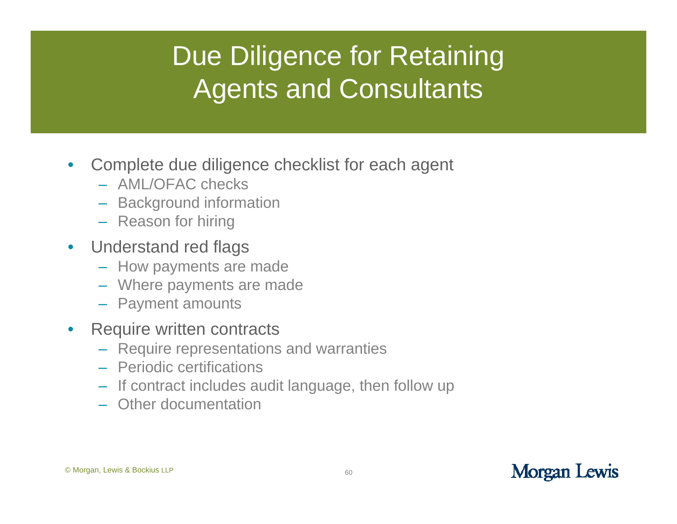# Due Diligence for Retaining Agents and Consultants

- $\bullet$  Complete due diligence checklist for each agent
	- AML/OFAC checks
	- Background information
	- Reason for hiring
- Understand red flags
	- How payments are made
	- Where payments are made
	- Payment amounts
- $\bullet$  Require written contracts
	- Require representations and warranties
	- Periodic certifications
	- If contract includes audit language, then follow up
	- Other documentation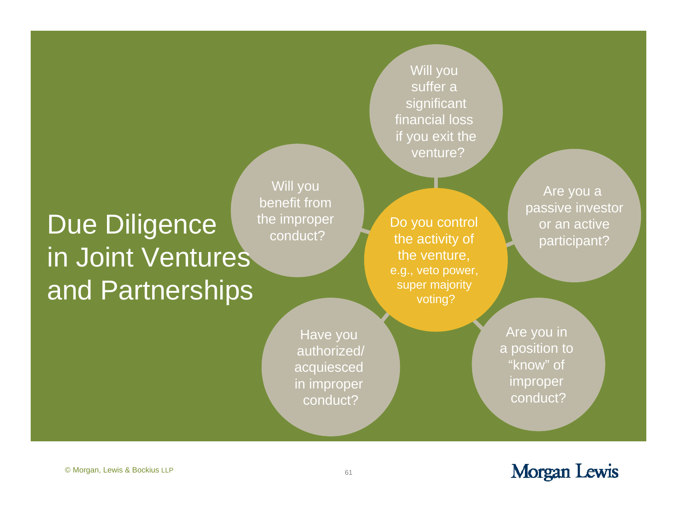# Due Diligence in Joint Ventures and Partnerships

Will you benefit from the improper conduct?

> Have you authorized/ acquiesced in improper conduct?

Will you suffer a significant financial loss if you exit the venture?

Do you control the activity of the venture, e.g., veto power, super majority voting?

Are you a passive investor or an active participant?

Are you in a position to "know" of improper conduct?

C Morgan, Lewis & Bockius LLP 61 LLP

**Morgan Lewis**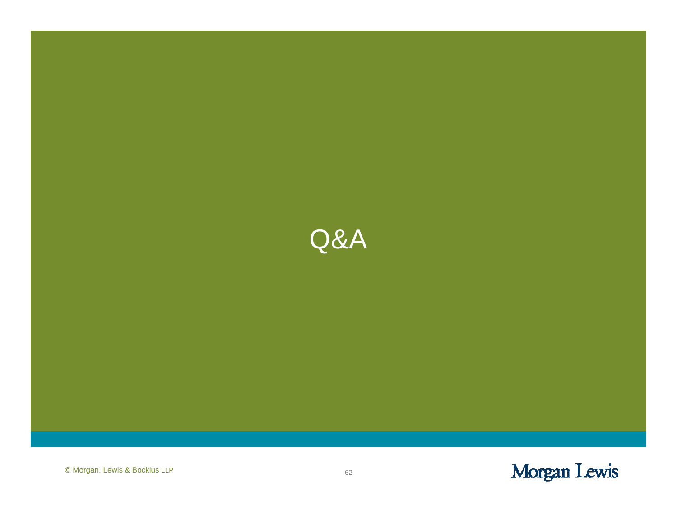